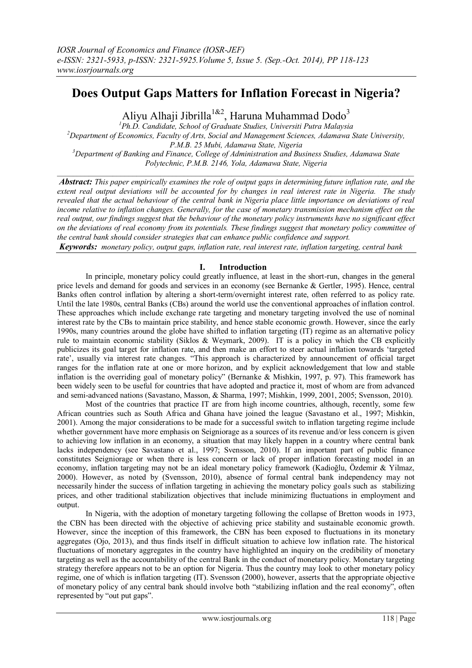# **Does Output Gaps Matters for Inflation Forecast in Nigeria?**

Aliyu Alhaji Jibrilla<sup>1&2</sup>, Haruna Muhammad Dodo<sup>3</sup>

*<sup>1</sup>Ph.D. Candidate, School of Graduate Studies, Universiti Putra Malaysia <sup>2</sup>Department of Economics, Faculty of Arts, Social and Management Sciences, Adamawa State University, P.M.B. 25 Mubi, Adamawa State, Nigeria <sup>3</sup>Department of Banking and Finance, College of Administration and Business Studies, Adamawa State Polytechnic, P.M.B. 2146, Yola, Adamawa State, Nigeria*

 $\mathcal{L}_\mathcal{L} = \mathcal{L}_\mathcal{L}$ 

*Abstract: This paper empirically examines the role of output gaps in determining future inflation rate, and the extent real output deviations will be accounted for by changes in real interest rate in Nigeria. The study revealed that the actual behaviour of the central bank in Nigeria place little importance on deviations of real income relative to inflation changes. Generally, for the case of monetary transmission mechanism effect on the real output, our findings suggest that the behaviour of the monetary policy instruments have no significant effect on the deviations of real economy from its potentials. These findings suggest that monetary policy committee of the central bank should consider strategies that can enhance public confidence and support.*

*Keywords: monetary policy, output gaps, inflation rate, real interest rate, inflation targeting, central bank*

# **I. Introduction**

In principle, monetary policy could greatly influence, at least in the short-run, changes in the general price levels and demand for goods and services in an economy (see Bernanke & Gertler, 1995). Hence, central Banks often control inflation by altering a short-term/overnight interest rate, often referred to as policy rate. Until the late 1980s, central Banks (CBs) around the world use the conventional approaches of inflation control. These approaches which include exchange rate targeting and monetary targeting involved the use of nominal interest rate by the CBs to maintain price stability, and hence stable economic growth. However, since the early 1990s, many countries around the globe have shifted to inflation targeting (IT) regime as an alternative policy rule to maintain economic stability (Siklos & Weymark, 2009). IT is a policy in which the CB explicitly publicizes its goal target for inflation rate, and then make an effort to steer actual inflation towards "targeted rate", usually via interest rate changes. "This approach is characterized by announcement of official target ranges for the inflation rate at one or more horizon, and by explicit acknowledgement that low and stable inflation is the overriding goal of monetary policy" (Bernanke & Mishkin, 1997, p. 97). This framework has been widely seen to be useful for countries that have adopted and practice it, most of whom are from advanced and semi-advanced nations (Savastano, Masson, & Sharma, 1997; Mishkin, 1999, 2001, 2005; Svensson, 2010).

Most of the countries that practice IT are from high income countries, although, recently, some few African countries such as South Africa and Ghana have joined the league (Savastano et al., 1997; Mishkin, 2001). Among the major considerations to be made for a successful switch to inflation targeting regime include whether government have more emphasis on Seigniorage as a sources of its revenue and/or less concern is given to achieving low inflation in an economy, a situation that may likely happen in a country where central bank lacks independency (see Savastano et al., 1997; Svensson, 2010). If an important part of public finance constitutes Seigniorage or when there is less concern or lack of proper inflation forecasting model in an economy, inflation targeting may not be an ideal monetary policy framework (Kadioğlu, Özdemir & Yilmaz, 2000). However, as noted by (Svensson, 2010), absence of formal central bank independency may not necessarily hinder the success of inflation targeting in achieving the monetary policy goals such as stabilizing prices, and other traditional stabilization objectives that include minimizing fluctuations in employment and output.

In Nigeria, with the adoption of monetary targeting following the collapse of Bretton woods in 1973, the CBN has been directed with the objective of achieving price stability and sustainable economic growth. However, since the inception of this framework, the CBN has been exposed to fluctuations in its monetary aggregates (Ojo, 2013), and thus finds itself in difficult situation to achieve low inflation rate. The historical fluctuations of monetary aggregates in the country have highlighted an inquiry on the credibility of monetary targeting as well as the accountability of the central Bank in the conduct of monetary policy. Monetary targeting strategy therefore appears not to be an option for Nigeria. Thus the country may look to other monetary policy regime, one of which is inflation targeting (IT). Svensson (2000), however, asserts that the appropriate objective of monetary policy of any central bank should involve both "stabilizing inflation and the real economy", often represented by "out put gaps".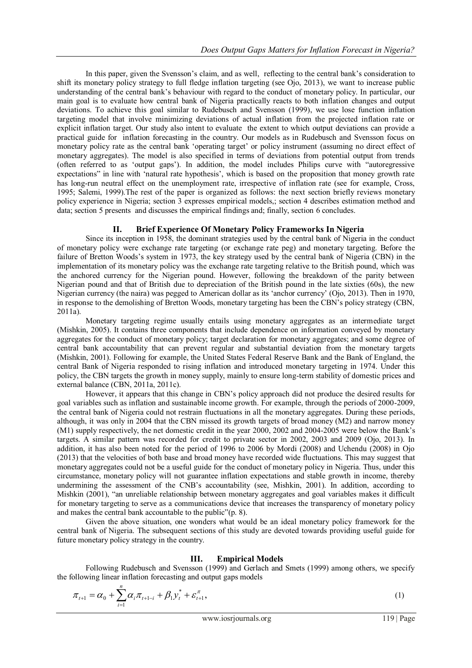In this paper, given the Svensson"s claim, and as well, reflecting to the central bank"s consideration to shift its monetary policy strategy to full fledge inflation targeting (see Ojo, 2013), we want to increase public understanding of the central bank"s behaviour with regard to the conduct of monetary policy. In particular, our main goal is to evaluate how central bank of Nigeria practically reacts to both inflation changes and output deviations. To achieve this goal similar to Rudebusch and Svensson (1999), we use lose function inflation targeting model that involve minimizing deviations of actual inflation from the projected inflation rate or explicit inflation target. Our study also intent to evaluate the extent to which output deviations can provide a practical guide for inflation forecasting in the country. Our models as in Rudebusch and Svensson focus on monetary policy rate as the central bank "operating target" or policy instrument (assuming no direct effect of monetary aggregates). The model is also specified in terms of deviations from potential output from trends (often referred to as "output gaps"). In addition, the model includes Philips curve with "autoregressive expectations" in line with "natural rate hypothesis", which is based on the proposition that money growth rate has long-run neutral effect on the unemployment rate, irrespective of inflation rate (see for example, Cross, 1995; Salemi, 1999).The rest of the paper is organized as follows: the next section briefly reviews monetary policy experience in Nigeria; section 3 expresses empirical models,; section 4 describes estimation method and data; section 5 presents and discusses the empirical findings and; finally, section 6 concludes.

## **II. Brief Experience Of Monetary Policy Frameworks In Nigeria**

Since its inception in 1958, the dominant strategies used by the central bank of Nigeria in the conduct of monetary policy were exchange rate targeting (or exchange rate peg) and monetary targeting. Before the failure of Bretton Woods's system in 1973, the key strategy used by the central bank of Nigeria (CBN) in the implementation of its monetary policy was the exchange rate targeting relative to the British pound, which was the anchored currency for the Nigerian pound. However, following the breakdown of the parity between Nigerian pound and that of British due to depreciation of the British pound in the late sixties (60s), the new Nigerian currency (the naira) was pegged to American dollar as its "anchor currency" (Ojo, 2013). Then in 1970, in response to the demolishing of Bretton Woods, monetary targeting has been the CBN"s policy strategy (CBN, 2011a).

Monetary targeting regime usually entails using monetary aggregates as an intermediate target (Mishkin, 2005). It contains three components that include dependence on information conveyed by monetary aggregates for the conduct of monetary policy; target declaration for monetary aggregates; and some degree of central bank accountability that can prevent regular and substantial deviation from the monetary targets (Mishkin, 2001). Following for example, the United States Federal Reserve Bank and the Bank of England, the central Bank of Nigeria responded to rising inflation and introduced monetary targeting in 1974. Under this policy, the CBN targets the growth in money supply, mainly to ensure long-term stability of domestic prices and external balance (CBN, 2011a, 2011c).

However, it appears that this change in CBN"s policy approach did not produce the desired results for goal variables such as inflation and sustainable income growth. For example, through the periods of 2000-2009, the central bank of Nigeria could not restrain fluctuations in all the monetary aggregates. During these periods, although, it was only in 2004 that the CBN missed its growth targets of broad money (M2) and narrow money (M1) supply respectively, the net domestic credit in the year 2000, 2002 and 2004-2005 were below the Bank"s targets. A similar pattern was recorded for credit to private sector in 2002, 2003 and 2009 (Ojo, 2013). In addition, it has also been noted for the period of 1996 to 2006 by Mordi (2008) and Uchendu (2008) in Ojo (2013) that the velocities of both base and broad money have recorded wide fluctuations. This may suggest that monetary aggregates could not be a useful guide for the conduct of monetary policy in Nigeria. Thus, under this circumstance, monetary policy will not guarantee inflation expectations and stable growth in income, thereby undermining the assessment of the CNB's accountability (see, Mishkin, 2001). In addition, according to Mishkin (2001), "an unreliable relationship between monetary aggregates and goal variables makes it difficult for monetary targeting to serve as a communications device that increases the transparency of monetary policy and makes the central bank accountable to the public"(p. 8).

Given the above situation, one wonders what would be an ideal monetary policy framework for the central bank of Nigeria. The subsequent sections of this study are devoted towards providing useful guide for future monetary policy strategy in the country.

#### **III. Empirical Models**

Following Rudebusch and Svensson (1999) and Gerlach and Smets (1999) among others, we specify the following linear inflation forecasting and output gaps models

$$
\pi_{t+1} = \alpha_0 + \sum_{i=1}^n \alpha_i \pi_{t+1-i} + \beta_1 y_t^* + \varepsilon_{t+1}^\pi,
$$
\n(1)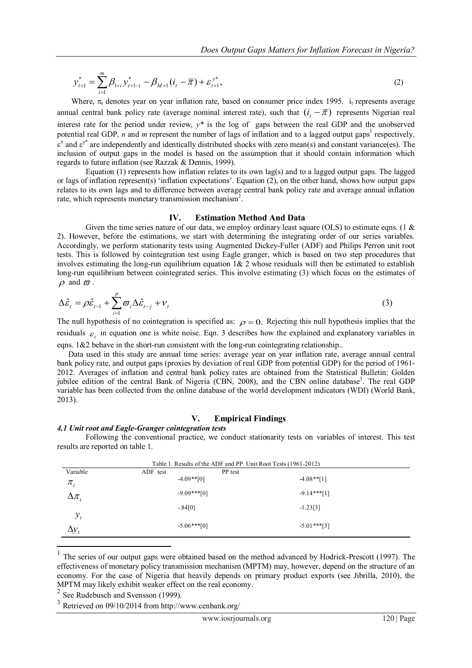$$
y_{t+1}^* = \sum_{i=1}^m \beta_{1+i} y_{t+1-i}^* - \beta_{M+1} (i_t - \overline{\pi}) + \varepsilon_{t+1}^{y^*},
$$
\n(2)

Where,  $\pi_t$  denotes year on year inflation rate, based on consumer price index 1995. i<sub>t</sub> represents average annual central bank policy rate (average nominal interest rate), such that  $(i_t - \overline{\pi})$  represents Nigerian real interest rate for the period under review, *y\** is the log of gaps between the real GDP and the unobserved potential real GDP,  $n$  and  $m$  represent the number of lags of inflation and to a lagged output gaps<sup>1</sup> respectively.  $\epsilon^{\pi}$  and  $\epsilon^{y*}$  are independently and identically distributed shocks with zero mean(s) and constant variance(es). The inclusion of output gaps in the model is based on the assumption that it should contain information which regards to future inflation (see Razzak & Dennis, 1999).

Equation (1) represents how inflation relates to its own lag(s) and to a lagged output gaps. The lagged or lags of inflation represent(s) 'inflation expectations'. Equation (2), on the other hand, shows how output gaps relates to its own lags and to difference between average central bank policy rate and average annual inflation rate, which represents monetary transmission mechanism<sup>2</sup>.

## **IV. Estimation Method And Data**

Given the time series nature of our data, we employ ordinary least square (OLS) to estimate eqns. (1  $\&$ 2). However, before the estimations, we start with determining the integrating order of our series variables. Accordingly, we perform stationarity tests using Augmented Dickey-Fuller (ADF) and Philips Perron unit root tests. This is followed by cointegration test using Eagle granger, which is based on two step procedures that involves estimating the long-run equilibrium equation  $1& 2$  whose residuals will then be estimated to establish long-run equilibrium between cointegrated series. This involve estimating (3) which focus on the estimates of  $\rho$  and  $\varpi$ .

$$
\Delta \hat{\varepsilon}_t = \rho \hat{\varepsilon}_{t-1} + \sum_{i=1}^p \varpi_i \Delta \hat{\varepsilon}_{t-j} + v_t
$$
\n(3)

The null hypothesis of no cointegration is specified as:  $\rho = 0$ . Rejecting this null hypothesis implies that the residuals  $\varepsilon$ <sub>i</sub> in equation one is white noise. Eqn. 3 describes how the explained and explanatory variables in equality equal to the short-run consistent with the long-run cointegrating relationship...

Data used in this study are annual time series: average year on year inflation rate, average annual central bank policy rate, and output gaps (proxies by deviation of real GDP from potential GDP) for the period of 1961- 2012. Averages of inflation and central bank policy rates are obtained from the Statistical Bulletin: Golden jubilee edition of the central Bank of Nigeria (CBN, 2008), and the CBN online database<sup>3</sup>. The real GDP variable has been collected from the online database of the world development indicators (WDI) (World Bank, 2013).

## **V. Empirical Findings**

#### *4.1 Unit root and Eagle-Granger cointegration tests*

Following the conventional practice, we conduct stationarity tests on variables of interest. This test results are reported on table 1.

| Table 1. Results of the ADF and PP Unit Root Tests (1961-2012) |                |         |               |  |
|----------------------------------------------------------------|----------------|---------|---------------|--|
| Variable                                                       | ADF test       | PP test |               |  |
| $\pi_{t}$                                                      | $-4.09**[0]$   |         | $-4.08**$ [1] |  |
| $\Delta \pi$                                                   | $-9.09***[0]$  |         | $-9.14***[1]$ |  |
|                                                                | $-.84[0]$      |         | $-1.23[3]$    |  |
| $y_t$                                                          |                |         |               |  |
| $\Delta y_t$                                                   | $-5.06$ ***[0] |         | $-5.01***[3]$ |  |

<sup>1</sup> The series of our output gaps were obtained based on the method advanced by Hodrick-Prescott (1997). The effectiveness of monetary policy transmission mechanism (MPTM) may, however, depend on the structure of an economy. For the case of Nigeria that heavily depends on primary product exports (see Jibrilla, 2010), the MPTM may likely exhibit weaker effect on the real economy.

2 See Rudebusch and Svensson (1999).

1

 $3$  Retrieved on 09/10/2014 from http://www.cenbank.org/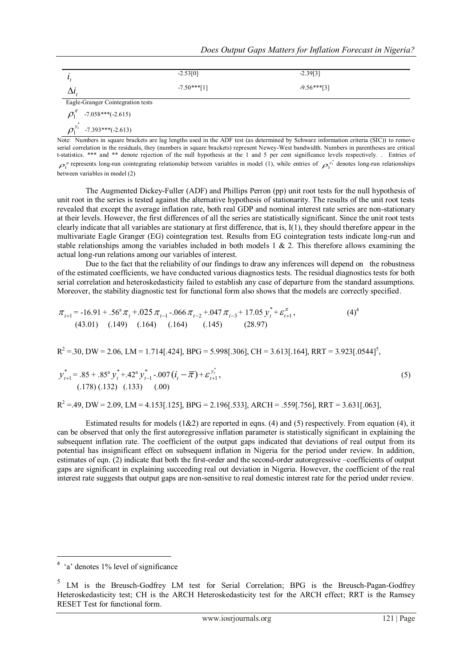|                                   | $-2.53[0]$    | $-2.39[3]$    |  |  |
|-----------------------------------|---------------|---------------|--|--|
|                                   | $-7.50***[1]$ | $-9.56***[3]$ |  |  |
| Eagle-Granger Cointegration tests |               |               |  |  |
| $\rho_1^{\pi}$ -7.058***(-2.615)  |               |               |  |  |
| $\rho_1^{y_t}$ -7.393***(-2.613)  |               |               |  |  |

Note: Numbers in square brackets are lag lengths used in the ADF test (as determined by Schwarz information criteria (SIC)) to remove serial correlation in the residuals, they (numbers in square brackets) represent Newey-West bandwidth. Numbers in parentheses are critical t-statistics. \*\*\* and \*\* denote rejection of the null hypothesis at the 1 and 5 per cent significance levels respectively. . Entries of  $\rho_1^{\pi}$  represents long-run cointegrating relationship between variables in model (1), while entries of  $\rho_1^{\nu_i^*}$  denotes long-run relationships between variables in model (2)

The Augmented Dickey-Fuller (ADF) and Phillips Perron (pp) unit root tests for the null hypothesis of unit root in the series is tested against the alternative hypothesis of stationarity. The results of the unit root tests revealed that except the average inflation rate, both real GDP and nominal interest rate series are non-stationary at their levels. However, the first differences of all the series are statistically significant. Since the unit root tests clearly indicate that all variables are stationary at first difference, that is, I(1), they should therefore appear in the multivariate Eagle Granger (EG) cointegration test. Results from EG cointegration tests indicate long-run and stable relationships among the variables included in both models  $1 \& 2$ . This therefore allows examining the actual long-run relations among our variables of interest.

Due to the fact that the reliability of our findings to draw any inferences will depend on the robustness of the estimated coefficients, we have conducted various diagnostics tests. The residual diagnostics tests for both serial correlation and heteroskedasticity failed to establish any case of departure from the standard assumptions. Moreover, the stability diagnostic test for functional form also shows that the models are correctly specified.

$$
\pi_{t+1} = -16.91 + .56^{\circ} \pi_t + .025 \pi_{t-1} - .066 \pi_{t-2} + .047 \pi_{t-3} + 17.05 \ y_t^* + \mathcal{E}_{t+1}^{\pi},
$$
\n(43.01) (0.149) (0.164) (0.164) (0.145) (28.97)

 $R^2 = 0.30$ , DW = 2.06, LM = 1.714[.424], BPG = 5.998[.306], CH = 3.613[.164], RRT = 3.923[.0544]<sup>5</sup>,

$$
y_{t+1}^{*} = .85 + .85^{a} y_{t}^{*} + .42^{a} y_{t-1}^{*} - .007 (i_{t} - \overline{\pi}) + \varepsilon_{t+1}^{y_{t}^{*}},
$$
\n(5)\n(178)(.132) (.133) (.00)

 $R^2 = 0.49$ , DW = 2.09, LM = 4.153[.125], BPG = 2.196[.533], ARCH = .559[.756], RRT = 3.631[.063]

Estimated results for models  $(1&2)$  are reported in eqns. (4) and (5) respectively. From equation (4), it can be observed that only the first autoregressive inflation parameter is statistically significant in explaining the subsequent inflation rate. The coefficient of the output gaps indicated that deviations of real output from its potential has insignificant effect on subsequent inflation in Nigeria for the period under review. In addition, estimates of eqn. (2) indicate that both the first-order and the second-order autoregressive –coefficients of output gaps are significant in explaining succeeding real out deviation in Nigeria. However, the coefficient of the real interest rate suggests that output gaps are non-sensitive to real domestic interest rate for the period under review.

<sup>&</sup>lt;sup>4</sup> 'a' denotes 1% level of significance

<sup>5</sup> LM is the Breusch-Godfrey LM test for Serial Correlation; BPG is the Breusch-Pagan-Godfrey Heteroskedasticity test; CH is the ARCH Heteroskedasticity test for the ARCH effect; RRT is the Ramsey RESET Test for functional form.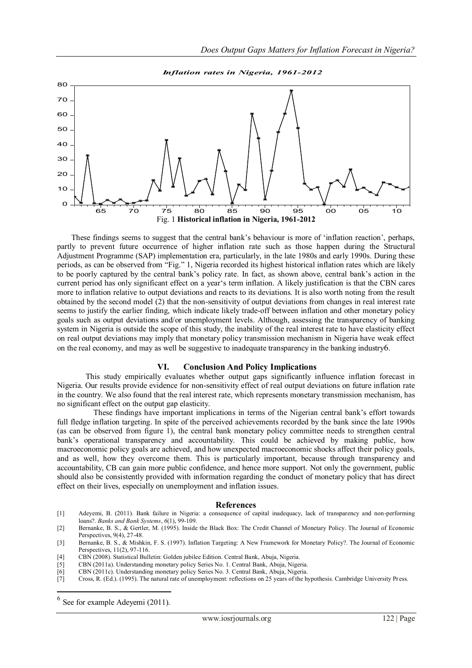

These findings seems to suggest that the central bank"s behaviour is more of "inflation reaction", perhaps, partly to prevent future occurrence of higher inflation rate such as those happen during the Structural Adjustment Programme (SAP) implementation era, particularly, in the late 1980s and early 1990s. During these periods, as can be observed from "Fig." 1, Nigeria recorded its highest historical inflation rates which are likely to be poorly captured by the central bank"s policy rate. In fact, as shown above, central bank"s action in the current period has only significant effect on a year"s term inflation. A likely justification is that the CBN cares more to inflation relative to output deviations and reacts to its deviations. It is also worth noting from the result obtained by the second model (2) that the non-sensitivity of output deviations from changes in real interest rate seems to justify the earlier finding, which indicate likely trade-off between inflation and other monetary policy goals such as output deviations and/or unemployment levels. Although, assessing the transparency of banking system in Nigeria is outside the scope of this study, the inability of the real interest rate to have elasticity effect on real output deviations may imply that monetary policy transmission mechanism in Nigeria have weak effect on the real economy, and may as well be suggestive to inadequate transparency in the banking industry6.

#### **VI. Conclusion And Policy Implications**

This study empirically evaluates whether output gaps significantly influence inflation forecast in Nigeria. Our results provide evidence for non-sensitivity effect of real output deviations on future inflation rate in the country. We also found that the real interest rate, which represents monetary transmission mechanism, has no significant effect on the output gap elasticity.

 These findings have important implications in terms of the Nigerian central bank"s effort towards full fledge inflation targeting. In spite of the perceived achievements recorded by the bank since the late 1990s (as can be observed from figure 1), the central bank monetary policy committee needs to strengthen central bank's operational transparency and accountability. This could be achieved by making public, how macroeconomic policy goals are achieved, and how unexpected macroeconomic shocks affect their policy goals, and as well, how they overcome them. This is particularly important, because through transparency and accountability, CB can gain more public confidence, and hence more support. Not only the government, public should also be consistently provided with information regarding the conduct of monetary policy that has direct effect on their lives, especially on unemployment and inflation issues.

#### **References**

- [1] Adeyemi, B. (2011). Bank failure in Nigeria: a consequence of capital inadequacy, lack of transparency and non-performing loans?. *Banks and Bank Systems*, *6*(1), 99-109.
- [2] Bernanke, B. S., & Gertler, M. (1995). Inside the Black Box: The Credit Channel of Monetary Policy. The Journal of Economic Perspectives, 9(4), 27-48.

- [4] CBN (2008). Statistical Bulletin: Golden jubilee Edition. Central Bank, Abuja, Nigeria.
- [5] CBN (2011a). Understanding monetary policy Series No. 1. Central Bank, Abuja, Nigeria.
- [6] CBN (2011c). Understanding monetary policy Series No. 3. Central Bank, Abuja, Nigeria.

1

<sup>[3]</sup> Bernanke, B. S., & Mishkin, F. S. (1997). Inflation Targeting: A New Framework for Monetary Policy?. The Journal of Economic Perspectives, 11(2), 97-116.

<sup>[7]</sup> Cross, R. (Ed.). (1995). The natural rate of unemployment: reflections on 25 years of the hypothesis. Cambridge University Press.

<sup>&</sup>lt;sup>6</sup> See for example Adeyemi (2011).